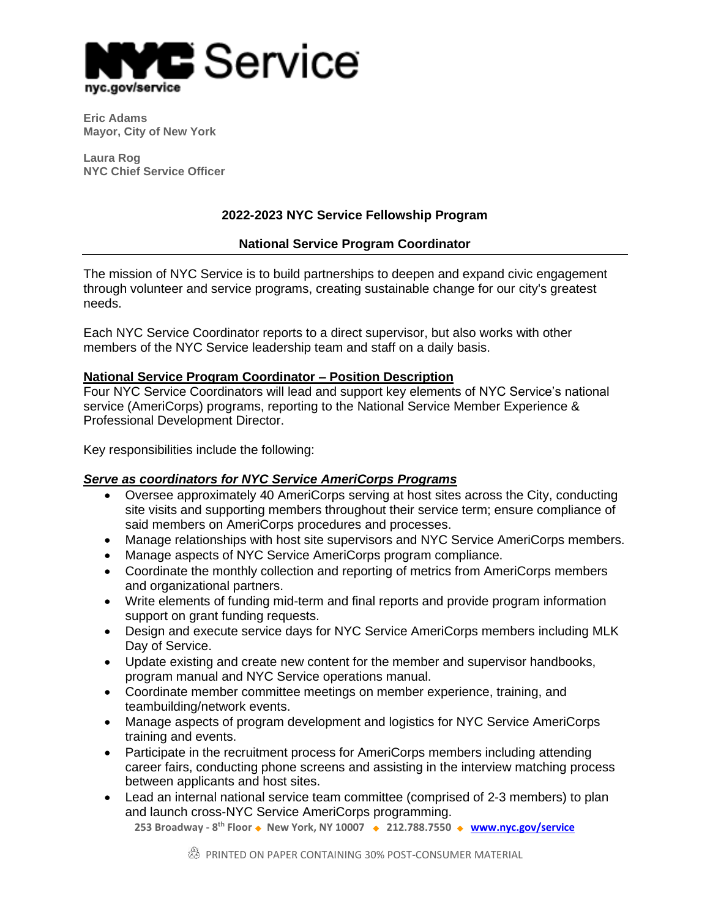

**Eric Adams Mayor, City of New York**

**Laura Rog NYC Chief Service Officer**

## **2022-2023 NYC Service Fellowship Program**

#### **National Service Program Coordinator**

The mission of NYC Service is to build partnerships to deepen and expand civic engagement through volunteer and service programs, creating sustainable change for our city's greatest needs.

Each NYC Service Coordinator reports to a direct supervisor, but also works with other members of the NYC Service leadership team and staff on a daily basis.

#### **National Service Program Coordinator – Position Description**

Four NYC Service Coordinators will lead and support key elements of NYC Service's national service (AmeriCorps) programs, reporting to the National Service Member Experience & Professional Development Director.

Key responsibilities include the following:

### *Serve as coordinators for NYC Service AmeriCorps Programs*

- Oversee approximately 40 AmeriCorps serving at host sites across the City, conducting site visits and supporting members throughout their service term; ensure compliance of said members on AmeriCorps procedures and processes.
- Manage relationships with host site supervisors and NYC Service AmeriCorps members.
- Manage aspects of NYC Service AmeriCorps program compliance.
- Coordinate the monthly collection and reporting of metrics from AmeriCorps members and organizational partners.
- Write elements of funding mid-term and final reports and provide program information support on grant funding requests.
- Design and execute service days for NYC Service AmeriCorps members including MLK Day of Service.
- Update existing and create new content for the member and supervisor handbooks, program manual and NYC Service operations manual.
- Coordinate member committee meetings on member experience, training, and teambuilding/network events.
- Manage aspects of program development and logistics for NYC Service AmeriCorps training and events.
- Participate in the recruitment process for AmeriCorps members including attending career fairs, conducting phone screens and assisting in the interview matching process between applicants and host sites.
- Lead an internal national service team committee (comprised of 2-3 members) to plan and launch cross-NYC Service AmeriCorps programming.

**253 Broadway - 8 th Floor** ◆ **New York, NY 10007** ◆ **212.788.7550** ◆ **[www.nyc.gov/service](http://www.nyc.gov/service)**